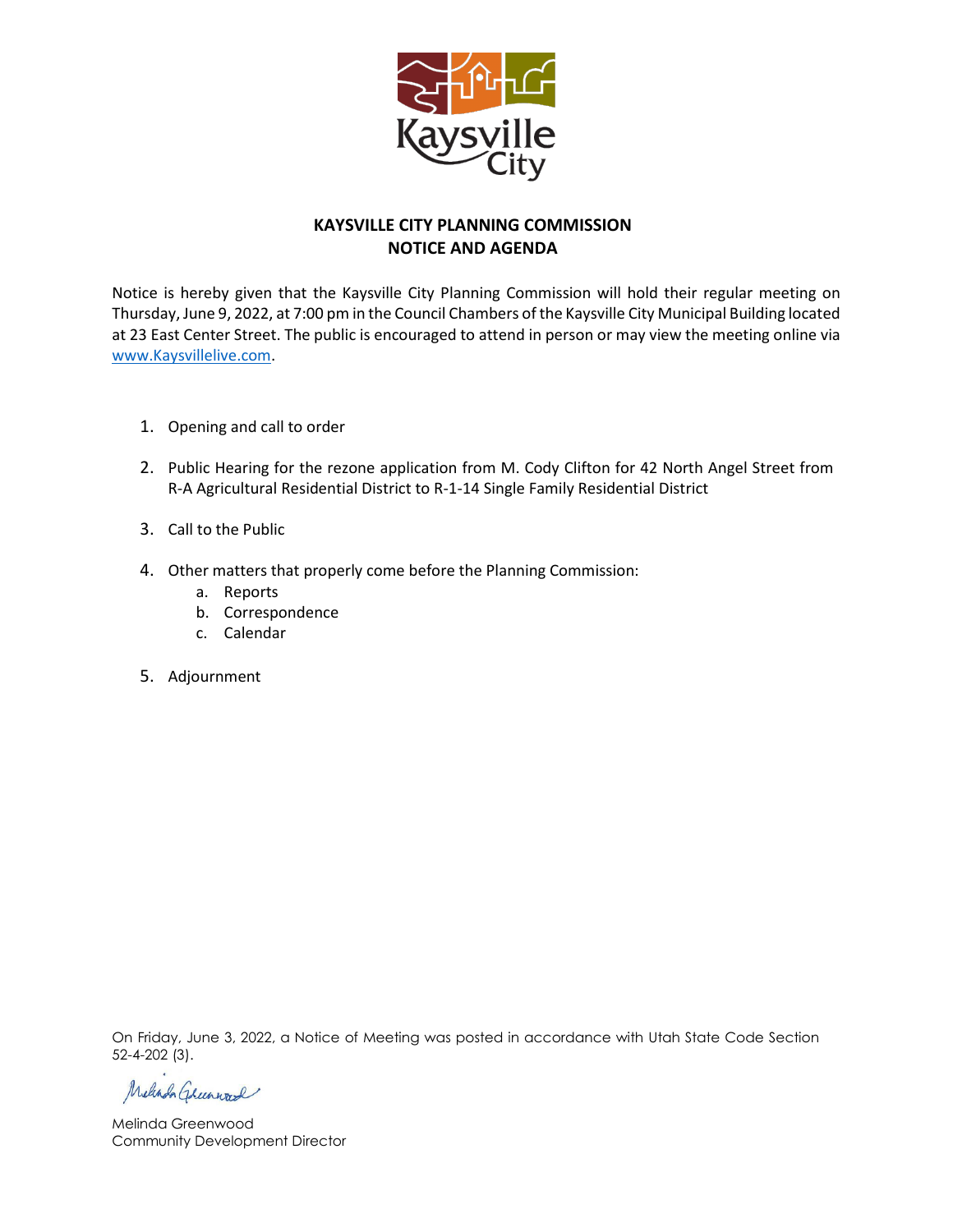

#### **KAYSVILLE CITY PLANNING COMMISSION NOTICE AND AGENDA**

Notice is hereby given that the Kaysville City Planning Commission will hold their regular meeting on Thursday, June 9, 2022, at 7:00 pm in the Council Chambers of the Kaysville City Municipal Building located at 23 East Center Street. The public is encouraged to attend in person or may view the meeting online via [www.Kaysvillelive.com.](http://www.kaysvillelive.com/)

- 1. Opening and call to order
- 2. Public Hearing for the rezone application from M. Cody Clifton for 42 North Angel Street from R-A Agricultural Residential District to R-1-14 Single Family Residential District
- 3. Call to the Public
- 4. Other matters that properly come before the Planning Commission:
	- a. Reports
	- b. Correspondence
	- c. Calendar
- 5. Adjournment

On Friday, June 3, 2022, a Notice of Meeting was posted in accordance with Utah State Code Section 52-4-202 (3).

Melinda Greenward

Melinda Greenwood Community Development Director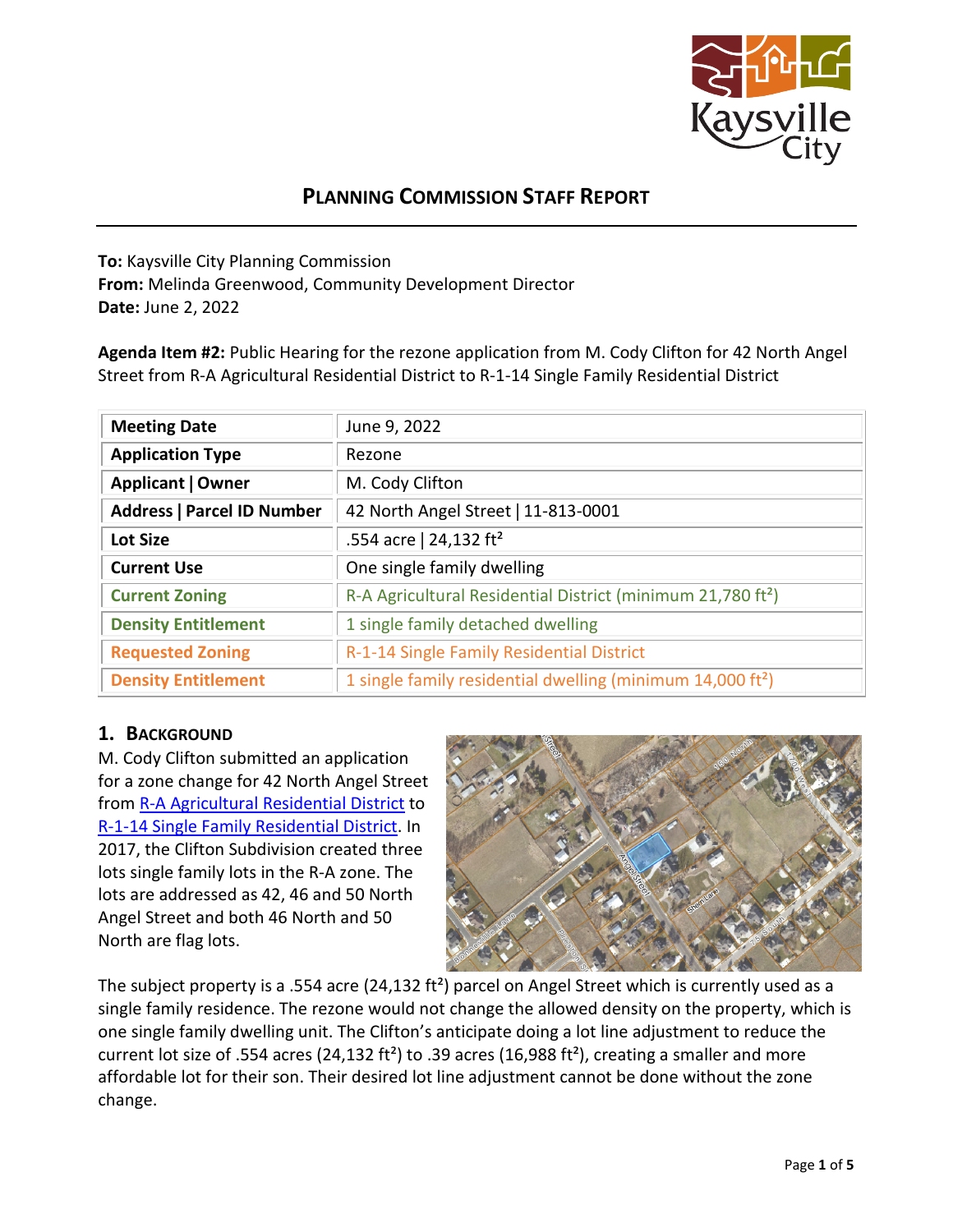

# **PLANNING COMMISSION STAFF REPORT**

**To:** Kaysville City Planning Commission **From:** Melinda Greenwood, Community Development Director **Date:** June 2, 2022

**Agenda Item #2:** Public Hearing for the rezone application from M. Cody Clifton for 42 North Angel Street from R-A Agricultural Residential District to R-1-14 Single Family Residential District

| <b>Meeting Date</b>               | June 9, 2022                                                            |  |
|-----------------------------------|-------------------------------------------------------------------------|--|
| <b>Application Type</b>           | Rezone                                                                  |  |
| Applicant   Owner                 | M. Cody Clifton                                                         |  |
| <b>Address   Parcel ID Number</b> | 42 North Angel Street   11-813-0001                                     |  |
| <b>Lot Size</b>                   | .554 acre   24,132 ft <sup>2</sup>                                      |  |
| <b>Current Use</b>                | One single family dwelling                                              |  |
| <b>Current Zoning</b>             | R-A Agricultural Residential District (minimum 21,780 ft <sup>2</sup> ) |  |
| <b>Density Entitlement</b>        | 1 single family detached dwelling                                       |  |
| <b>Requested Zoning</b>           | R-1-14 Single Family Residential District                               |  |
| <b>Density Entitlement</b>        | 1 single family residential dwelling (minimum 14,000 ft <sup>2</sup> )  |  |

## **1. BACKGROUND**

M. Cody Clifton submitted an application for a zone change for 42 North Angel Street from [R-A Agricultural Residential District](https://kaysville.municipalcodeonline.com/book?type=code#name=Chapter_10_R-A_Agricultural_Residential_District) to [R-1-14 Single Family Residential District.](https://kaysville.municipalcodeonline.com/book?type=code#name=Chapter_12_R-1_Single_Family_Residential_District) In 2017, the Clifton Subdivision created three lots single family lots in the R-A zone. The lots are addressed as 42, 46 and 50 North Angel Street and both 46 North and 50 North are flag lots.



The subject property is a .554 acre (24,132 ft<sup>2</sup>) parcel on Angel Street which is currently used as a single family residence. The rezone would not change the allowed density on the property, which is one single family dwelling unit. The Clifton's anticipate doing a lot line adjustment to reduce the current lot size of .554 acres (24,132 ft²) to .39 acres (16,988 ft²), creating a smaller and more affordable lot for their son. Their desired lot line adjustment cannot be done without the zone change.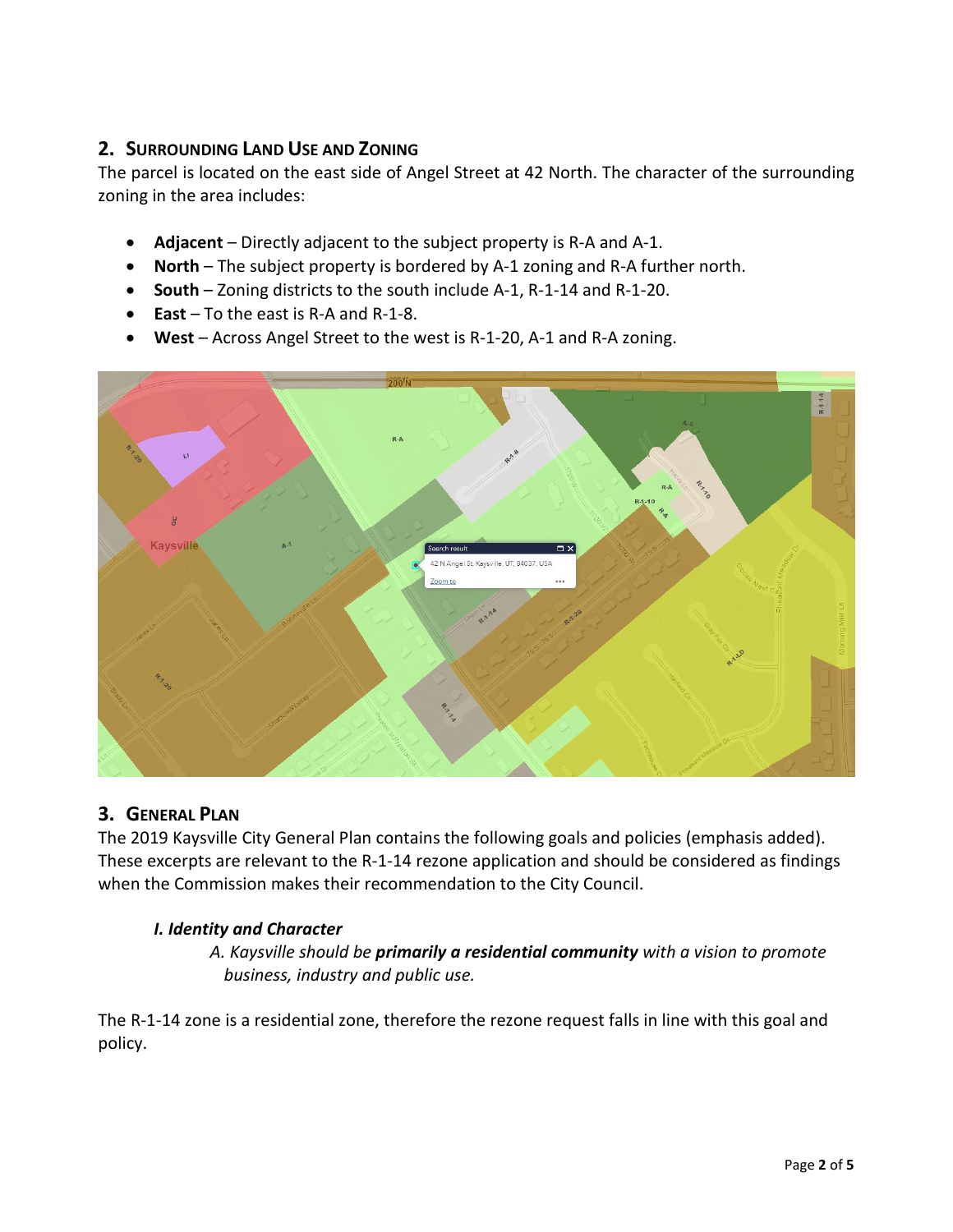## **2. SURROUNDING LAND USE AND ZONING**

The parcel is located on the east side of Angel Street at 42 North. The character of the surrounding zoning in the area includes:

- **Adjacent**  Directly adjacent to the subject property is R-A and A-1.
- **North** The subject property is bordered by A-1 zoning and R-A further north.
- **South** Zoning districts to the south include A-1, R-1-14 and R-1-20.
- **East** To the east is R-A and R-1-8.
- **West** Across Angel Street to the west is R-1-20, A-1 and R-A zoning.



## **3. GENERAL PLAN**

The 2019 Kaysville City General Plan contains the following goals and policies (emphasis added). These excerpts are relevant to the R-1-14 rezone application and should be considered as findings when the Commission makes their recommendation to the City Council.

#### *I. Identity and Character*

*A. Kaysville should be primarily a residential community with a vision to promote business, industry and public use.*

The R-1-14 zone is a residential zone, therefore the rezone request falls in line with this goal and policy.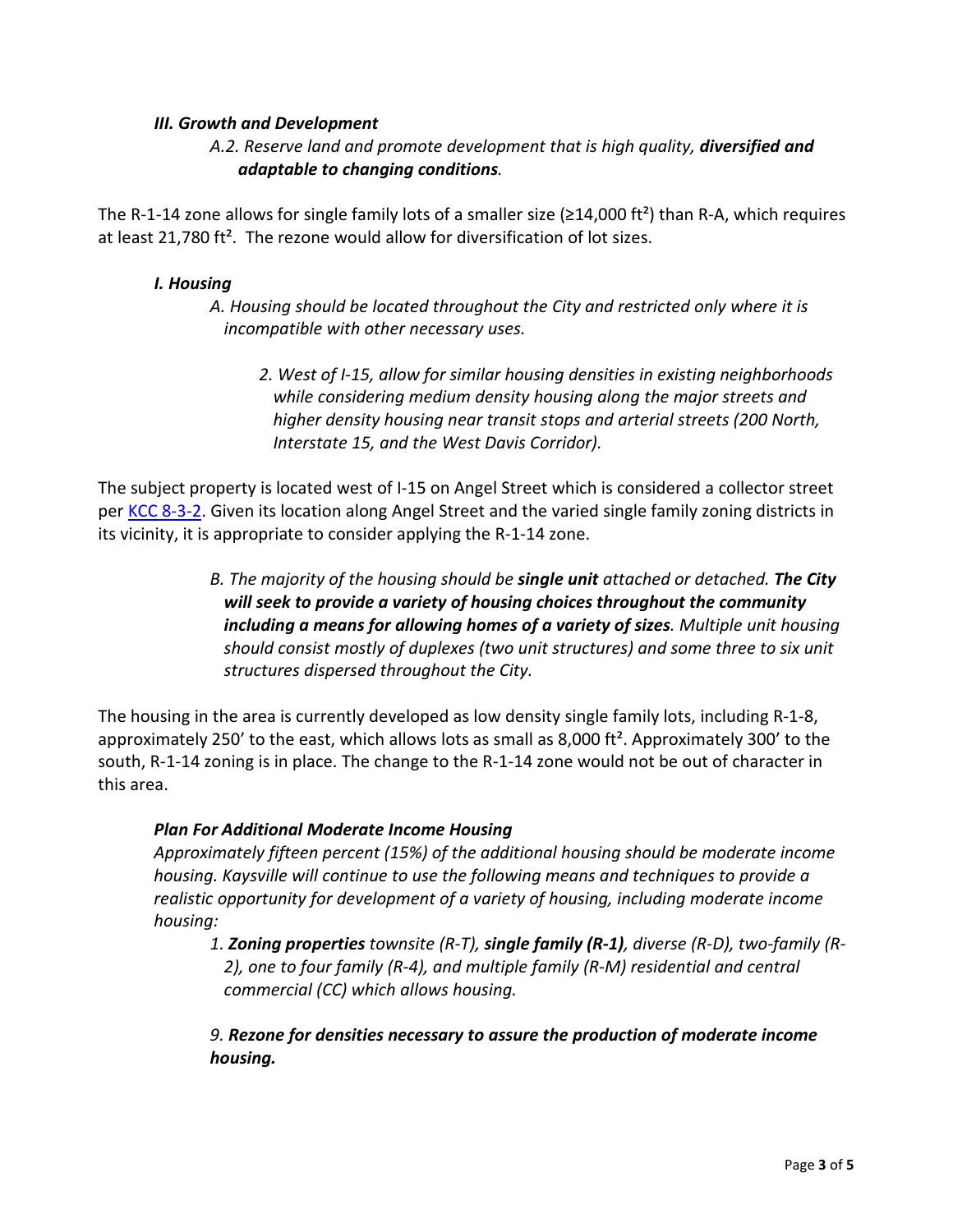#### *III. Growth and Development*

#### *A.2. Reserve land and promote development that is high quality, diversified and adaptable to changing conditions.*

The R-1-14 zone allows for single family lots of a smaller size ( $\geq$ 14,000 ft<sup>2</sup>) than R-A, which requires at least 21,780 ft<sup>2</sup>. The rezone would allow for diversification of lot sizes.

#### *I. Housing*

*A. Housing should be located throughout the City and restricted only where it is incompatible with other necessary uses.*

*2. West of I-15, allow for similar housing densities in existing neighborhoods while considering medium density housing along the major streets and higher density housing near transit stops and arterial streets (200 North, Interstate 15, and the West Davis Corridor).*

The subject property is located west of I-15 on Angel Street which is considered a collector street per [KCC 8-3-2.](https://kaysville.municipalcodeonline.com/book?type=code#name=Chapter_3_Major_Street_Plan) Given its location along Angel Street and the varied single family zoning districts in its vicinity, it is appropriate to consider applying the R-1-14 zone.

> *B. The majority of the housing should be single unit attached or detached. The City will seek to provide a variety of housing choices throughout the community including a means for allowing homes of a variety of sizes. Multiple unit housing should consist mostly of duplexes (two unit structures) and some three to six unit structures dispersed throughout the City.*

The housing in the area is currently developed as low density single family lots, including R-1-8, approximately 250' to the east, which allows lots as small as 8,000 ft². Approximately 300' to the south, R-1-14 zoning is in place. The change to the R-1-14 zone would not be out of character in this area.

#### *Plan For Additional Moderate Income Housing*

*Approximately fifteen percent (15%) of the additional housing should be moderate income housing. Kaysville will continue to use the following means and techniques to provide a realistic opportunity for development of a variety of housing, including moderate income housing:* 

*1. Zoning properties townsite (R-T), single family (R-1), diverse (R-D), two-family (R-2), one to four family (R-4), and multiple family (R-M) residential and central commercial (CC) which allows housing.* 

*9. Rezone for densities necessary to assure the production of moderate income housing.*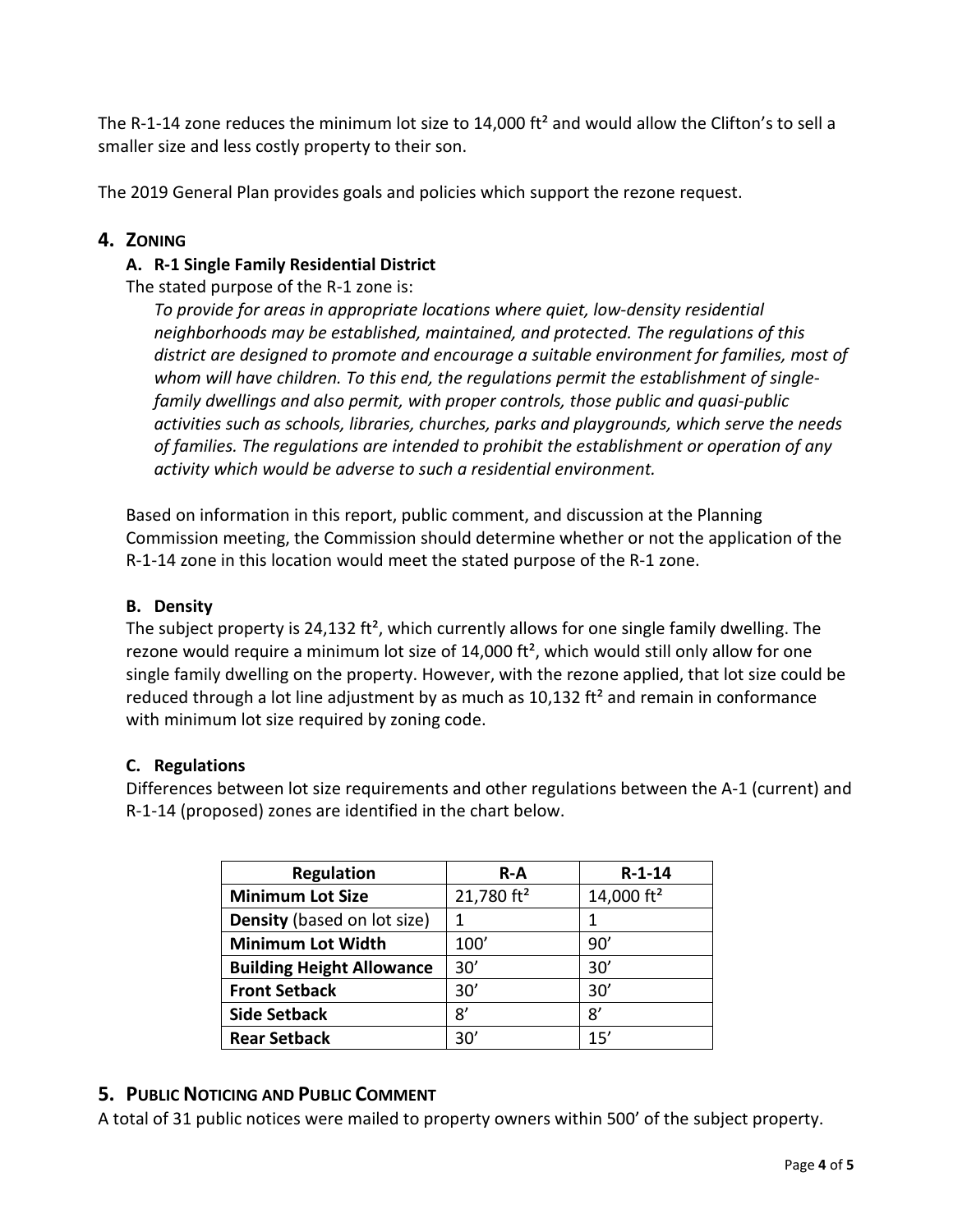The R-1-14 zone reduces the minimum lot size to 14,000 ft<sup>2</sup> and would allow the Clifton's to sell a smaller size and less costly property to their son.

The 2019 General Plan provides goals and policies which support the rezone request.

## **4. ZONING**

### **A. R-1 Single Family Residential District**

The stated purpose of the R-1 zone is:

*To provide for areas in appropriate locations where quiet, low-density residential neighborhoods may be established, maintained, and protected. The regulations of this district are designed to promote and encourage a suitable environment for families, most of whom will have children. To this end, the regulations permit the establishment of singlefamily dwellings and also permit, with proper controls, those public and quasi-public activities such as schools, libraries, churches, parks and playgrounds, which serve the needs of families. The regulations are intended to prohibit the establishment or operation of any activity which would be adverse to such a residential environment.*

Based on information in this report, public comment, and discussion at the Planning Commission meeting, the Commission should determine whether or not the application of the R-1-14 zone in this location would meet the stated purpose of the R-1 zone.

#### **B. Density**

The subject property is 24,132 ft<sup>2</sup>, which currently allows for one single family dwelling. The rezone would require a minimum lot size of  $14,000$  ft<sup>2</sup>, which would still only allow for one single family dwelling on the property. However, with the rezone applied, that lot size could be reduced through a lot line adjustment by as much as  $10,132$  ft<sup>2</sup> and remain in conformance with minimum lot size required by zoning code.

#### **C. Regulations**

Differences between lot size requirements and other regulations between the A-1 (current) and R-1-14 (proposed) zones are identified in the chart below.

| <b>Regulation</b>                | $R-A$         | $R - 1 - 14$  |
|----------------------------------|---------------|---------------|
| <b>Minimum Lot Size</b>          | 21,780 $ft^2$ | 14,000 $ft^2$ |
| Density (based on lot size)      |               |               |
| <b>Minimum Lot Width</b>         | 100'          | 90'           |
| <b>Building Height Allowance</b> | 30'           | 30'           |
| <b>Front Setback</b>             | 30'           | 30'           |
| <b>Side Setback</b>              | 8'            | 8'            |
| <b>Rear Setback</b>              | 30'           | 15'           |

## **5. PUBLIC NOTICING AND PUBLIC COMMENT**

A total of 31 public notices were mailed to property owners within 500' of the subject property.